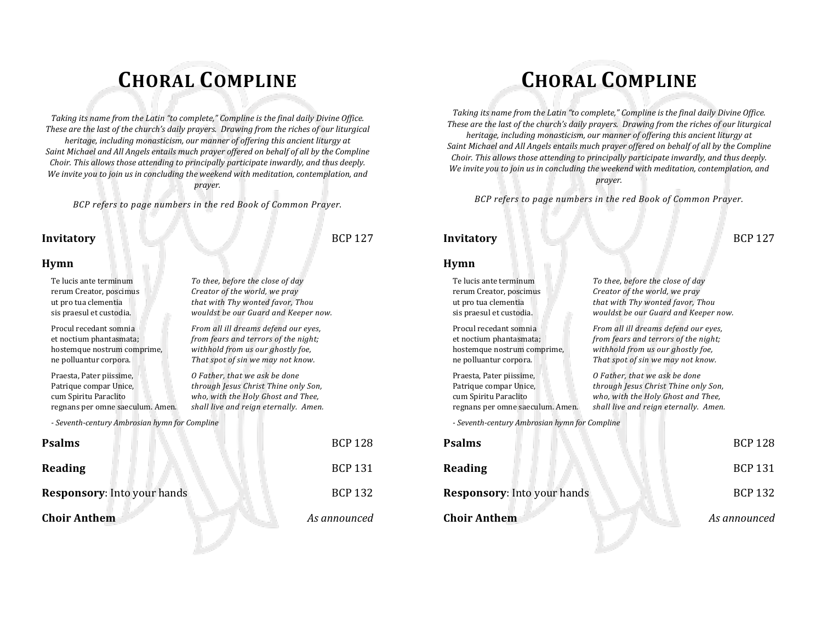# **CHORAL COMPLINE**

*Taking its name from the Latin "to complete," Compline is the final daily Divine Office. These are the last of the church's daily prayers. Drawing from the riches of our liturgical heritage, including monasticism, our manner of offering this ancient liturgy at Saint Michael and All Angels entails much prayer offered on behalf of all by the Compline Choir. This allows those attending to principally participate inwardly, and thus deeply. We invite you to join us in concluding the weekend with meditation, contemplation, and prayer.*

*BCP refers to page numbers in the red Book of Common Prayer.*

wouldst be our Guard and Keeper now.

withhold from us our ghostly foe,

shall live and reign eternally. Amen.

### **Invitatory** BCP 127

**Hymn**

### Te lucis ante terminum *To thee, before the close of day* rerum Creator, poscimus *Creator of the world, we pray* ut pro tua clementia *that with Thy wonted favor, Thou* Procul recedant somnia *From all ill dreams defend our eyes,* et noctium phantasmata; *from fears and terrors of the night;*

ne polluantur corpora. *That spot of sin we may not know.*

Praesta, Pater piissime, *O Father, that we ask be done* Patrique compar Unice, *through Jesus Christ Thine only Son,* cum Spiritu Paraclito *who, with the Holy Ghost and Thee,*

*- Seventh-century Ambrosian hymn for Compline*

| <b>Psalms</b>               |  |                | <b>BCP 128</b> |
|-----------------------------|--|----------------|----------------|
| Reading                     |  |                | <b>BCP 131</b> |
| Responsory: Into your hands |  | <b>BCP 132</b> |                |
| <b>Choir Anthem</b>         |  |                | As announced   |
|                             |  |                |                |

# **CHORAL COMPLINE**

*Taking its name from the Latin "to complete," Compline is the final daily Divine Office. These are the last of the church's daily prayers. Drawing from the riches of our liturgical heritage, including monasticism, our manner of offering this ancient liturgy at Saint Michael and All Angels entails much prayer offered on behalf of all by the Compline Choir. This allows those attending to principally participate inwardly, and thus deeply. We invite you to join us in concluding the weekend with meditation, contemplation, and prayer.*

*BCP refers to page numbers in the red Book of Common Prayer.*

#### **Invitatory** BCP 127

#### **Hymn**

Praesta, Pater piissime, *O Father, that we ask be done*

*- Seventh-century Ambrosian hymn for Compline*

| Psalms                             | <b>BCP 128</b> |
|------------------------------------|----------------|
| Reading                            | <b>BCP 131</b> |
| <b>Responsory: Into your hands</b> | <b>BCP 132</b> |
| <b>Choir Anthem</b>                | As announced   |
|                                    |                |

Te lucis ante terminum *To thee, before the close of day* rerum Creator, poscimus *Creator of the world, we pray* ut pro tua clementia *that with Thy wonted favor, Thou* wouldst be our Guard and Keeper now.

Procul recedant somnia *From all ill dreams defend our eyes,* et noctium phantasmata; *from fears and terrors of the night;* withhold from us our ghostly foe, ne polluantur corpora. *That spot of sin we may not know.*

Patrique compar Unice, *through Jesus Christ Thine only Son,* cum Spiritu Paraclito *who, with the Holy Ghost and Thee,* shall live and reign eternally. Amen.